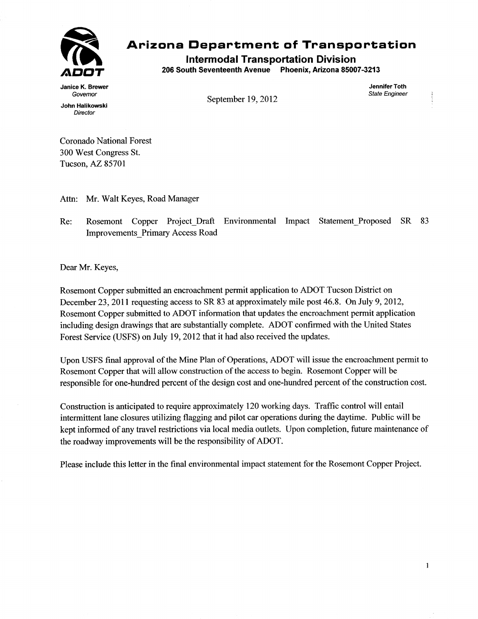

## **Arizona Department of Transportation**

**Intermodal Transportation Division** 

**206 South Seventeenth Avenue Phoenix, Arizona 85007-3213** 

**Janice K. Brewer Jennifer Toth** 

**Governor State Engineer September 19, 2012** 

1

**John Halikowski Director** 

**Coronado National Forest 300 West Congress St. Tucson, AZ 85701** 

**Attn: Mr. Walt Keyes, Road Manager** 

**Re: Rosemont Copper Project\_Draft Environmental Impact StatementProposed SR 83 Improvements\_Primary Access Road** 

**Dear Mr. Keyes,** 

**Rosemont Copper submitted an encroachment permit application to ADOT Tucson District on December 23, 2011 requesting access to SR 83 at approximately mile post 46.8. On July 9, 2012, Rosemont Copper submitted to ADOT information that updates the encroachment permit application including design drawings that are substantially complete. ADOT confirmed with the United States Forest Service (USFS) on July 19, 2012 that it had also received the updates.** 

**Upon USFS final approval of the Mine Plan of Operations, ADOT will issue the encroachment permit to Rosemont Copper that will allow construction of the access to begin. Rosemont Copper will be responsible for one-hundred percent of the design cost and one-hundred percent of the construction cost.** 

**Construction is anticipated to require approximately 120 working days. Traffic control will entail intermittent lane closures utilizing flagging and pilot car operations during the daytime. Public will be kept informed of any travel restrictions via local media outlets. Upon completion, future maintenance of the roadway improvements will be the responsibility of ADOT.** 

**Please include this letter in the final environmental impact statement for the Rosemont Copper Project.**